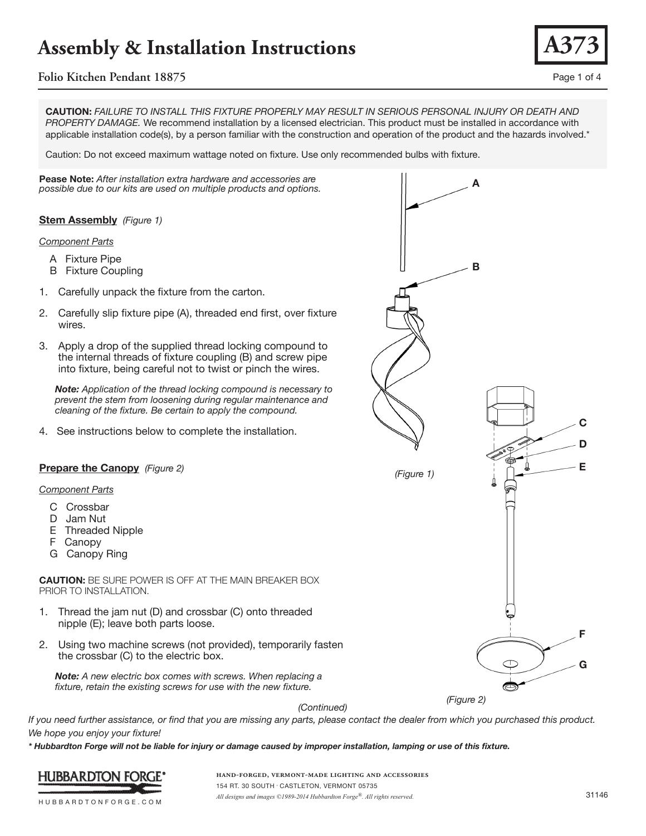## **Folio Kitchen Pendant 18875** Page 1 of 4

**CAUTION:** *FAILURE TO INSTALL THIS FIXTURE PROPERLY MAY RESULT IN SERIOUS PERSONAL INJURY OR DEATH AND PROPERTY DAMAGE.* We recommend installation by a licensed electrician. This product must be installed in accordance with applicable installation code(s), by a person familiar with the construction and operation of the product and the hazards involved.\*

Caution: Do not exceed maximum wattage noted on fixture. Use only recommended bulbs with fixture.

**Pease Note:** *After installation extra hardware and accessories are possible due to our kits are used on multiple products and options.*

### **Stem Assembly** *(Figure 1)*

#### *Component Parts*

- A Fixture Pipe
- B Fixture Coupling
- 1. Carefully unpack the fixture from the carton.
- 2. Carefully slip fixture pipe (A), threaded end first, over fixture wires.
- 3. Apply a drop of the supplied thread locking compound to the internal threads of fixture coupling (B) and screw pipe into fixture, being careful not to twist or pinch the wires.

 *Note: Application of the thread locking compound is necessary to prevent the stem from loosening during regular maintenance and cleaning of the fixture. Be certain to apply the compound.*

4. See instructions below to complete the installation.

### **Prepare the Canopy** *(Figure 2)*

#### *Component Parts*

- C Crossbar
- D Jam Nut
- E Threaded Nipple
- F Canopy
- G Canopy Ring

**CAUTION:** BE SURE POWER IS OFF AT THE MAIN BREAKER BOX PRIOR TO INSTALLATION.

- Thread the jam nut (D) and crossbar (C) onto threaded nipple (E); leave both parts loose.
- 2. Using two machine screws (not provided), temporarily fasten the crossbar (C) to the electric box.

 *Note: A new electric box comes with screws. When replacing a fixture, retain the existing screws for use with the new fixture.*

*(Continued)*

*If you need further assistance, or find that you are missing any parts, please contact the dealer from which you purchased this product. We hope you enjoy your fixture!* 

*\* Hubbardton Forge will not be liable for injury or damage caused by improper installation, lamping or use of this fixture.*



**hand-forged, vermont-made lighting and accessories** 154 RT. 30 SOUTH • CASTLETON, VERMONT 05735 *All designs and images ©1989-2014 Hubbardton Forge®. All rights reserved.* 31146



**A373**

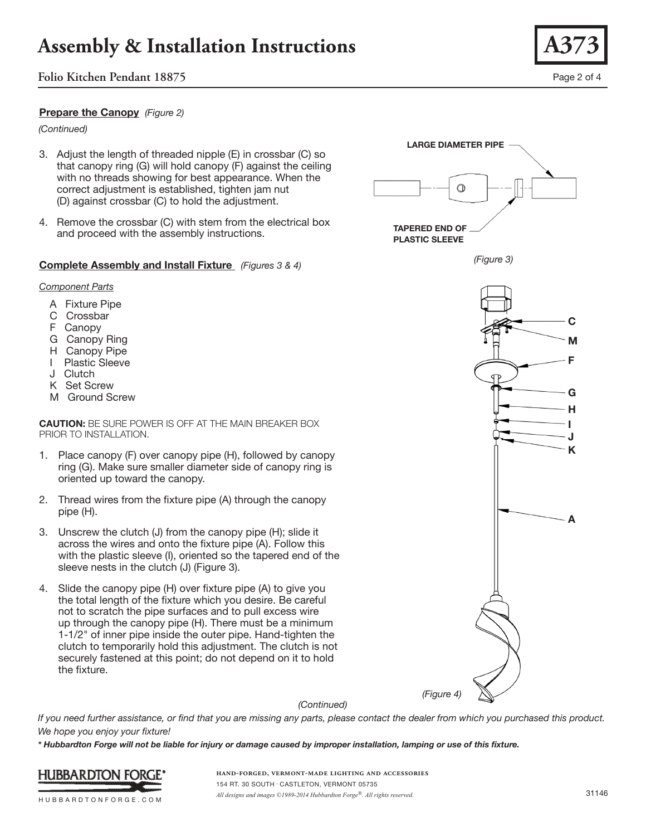## **Folio Kitchen Pendant 18875** Page 2 of 4

### **Prepare the Canopy** *(Figure 2)*

*(Continued)*

- 3. Adjust the length of threaded nipple (E) in crossbar (C) so that canopy ring (G) will hold canopy (F) against the ceiling with no threads showing for best appearance. When the correct adjustment is established, tighten jam nut (D) against crossbar (C) to hold the adjustment.
- 4. Remove the crossbar (C) with stem from the electrical box and proceed with the assembly instructions.

### **Complete Assembly and Install Fixture** *(Figures 3 & 4)*

#### *Component Parts*

- A Fixture Pipe
- C Crossbar
- F Canopy
- G Canopy Ring
- H Canopy Pipe
- I Plastic Sleeve
- J Clutch
- K Set Screw
- M Ground Screw

**CAUTION:** BE SURE POWER IS OFF AT THE MAIN BREAKER BOX PRIOR TO INSTALLATION.

- 1. Place canopy (F) over canopy pipe (H), followed by canopy ring (G). Make sure smaller diameter side of canopy ring is oriented up toward the canopy.
- 2. Thread wires from the fixture pipe (A) through the canopy pipe (H).
- 3. Unscrew the clutch (J) from the canopy pipe (H); slide it across the wires and onto the fixture pipe (A). Follow this with the plastic sleeve (I), oriented so the tapered end of the sleeve nests in the clutch (J) (Figure 3).
- 4. Slide the canopy pipe (H) over fixture pipe (A) to give you the total length of the fixture which you desire. Be careful not to scratch the pipe surfaces and to pull excess wire up through the canopy pipe (H). There must be a minimum 1-1/2" of inner pipe inside the outer pipe. Hand-tighten the clutch to temporarily hold this adjustment. The clutch is not securely fastened at this point; do not depend on it to hold the fixture.



*\* Hubbardton Forge will not be liable for injury or damage caused by improper installation, lamping or use of this fixture.*



HUBBARDTONFORGE.COM



**LARGE DIAMETER PIPE**

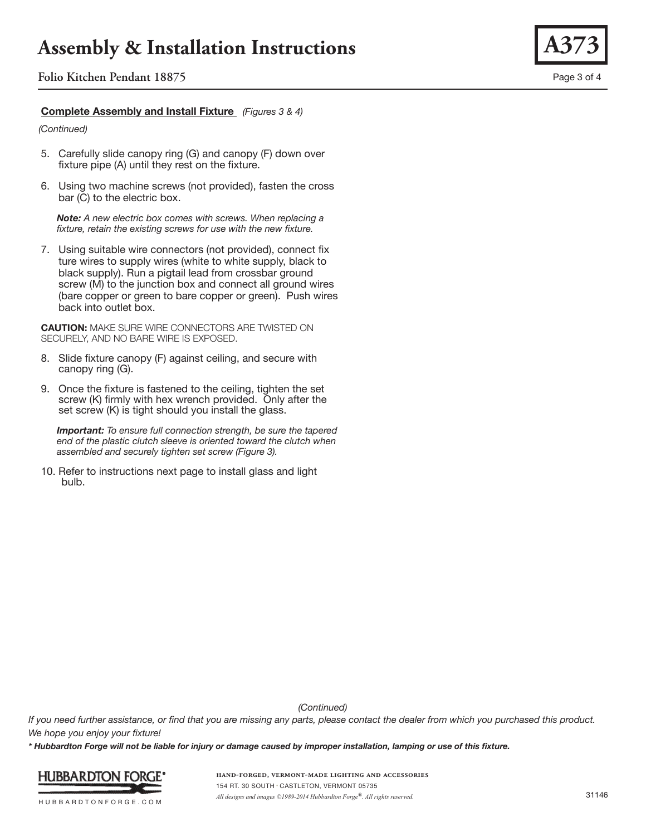**Folio Kitchen Pendant 18875** Page 3 of 4

### **Complete Assembly and Install Fixture** *(Figures 3 & 4)*

*(Continued)*

- 5. Carefully slide canopy ring (G) and canopy (F) down over fixture pipe (A) until they rest on the fixture.
- 6. Using two machine screws (not provided), fasten the cross bar (C) to the electric box.

 *Note: A new electric box comes with screws. When replacing a fixture, retain the existing screws for use with the new fixture.*

7. Using suitable wire connectors (not provided), connect fix ture wires to supply wires (white to white supply, black to black supply). Run a pigtail lead from crossbar ground screw (M) to the junction box and connect all ground wires (bare copper or green to bare copper or green). Push wires back into outlet box.

**CAUTION:** MAKE SURE WIRE CONNECTORS ARE TWISTED ON SECURELY, AND NO BARE WIRE IS EXPOSED.

- 8. Slide fixture canopy (F) against ceiling, and secure with canopy ring (G).
- 9. Once the fixture is fastened to the ceiling, tighten the set screw (K) firmly with hex wrench provided. Only after the set screw (K) is tight should you install the glass.

 *Important: To ensure full connection strength, be sure the tapered end of the plastic clutch sleeve is oriented toward the clutch when assembled and securely tighten set screw (Figure 3).*

10. Refer to instructions next page to install glass and light bulb.

*(Continued)*

*If you need further assistance, or find that you are missing any parts, please contact the dealer from which you purchased this product. We hope you enjoy your fixture!* 

*\* Hubbardton Forge will not be liable for injury or damage caused by improper installation, lamping or use of this fixture.*



HUBBARDTONFORGE.COM

**hand-forged, vermont-made lighting and accessories** 154 RT. 30 SOUTH • CASTLETON, VERMONT 05735 *All designs and images ©1989-2014 Hubbardton Forge®. All rights reserved.* 31146